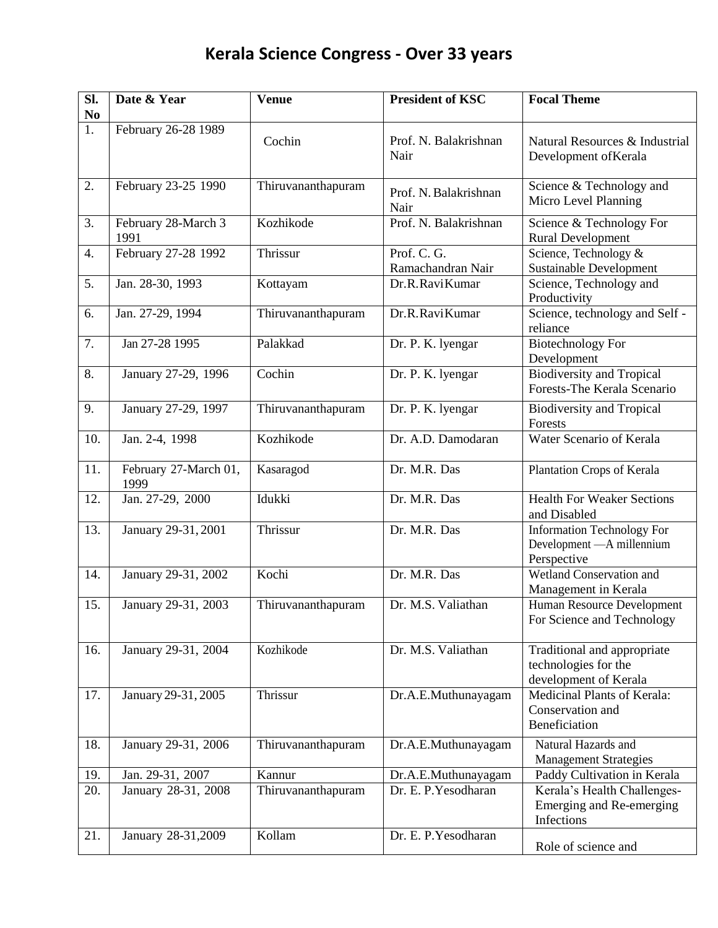## **Kerala Science Congress - Over 33 years**

| SI.<br>N <sub>0</sub> | Date & Year                   | <b>Venue</b>       | <b>President of KSC</b>          | <b>Focal Theme</b>                                                             |
|-----------------------|-------------------------------|--------------------|----------------------------------|--------------------------------------------------------------------------------|
| 1.                    | February 26-28 1989           | Cochin             | Prof. N. Balakrishnan<br>Nair    | Natural Resources & Industrial<br>Development of Kerala                        |
| 2.                    | February 23-25 1990           | Thiruvananthapuram | Prof. N. Balakrishnan<br>Nair    | Science & Technology and<br>Micro Level Planning                               |
| 3.                    | February 28-March 3<br>1991   | Kozhikode          | Prof. N. Balakrishnan            | Science & Technology For<br><b>Rural Development</b>                           |
| 4.                    | February 27-28 1992           | Thrissur           | Prof. C. G.<br>Ramachandran Nair | Science, Technology &<br><b>Sustainable Development</b>                        |
| 5.                    | Jan. 28-30, 1993              | Kottayam           | Dr.R.RaviKumar                   | Science, Technology and<br>Productivity                                        |
| 6.                    | Jan. 27-29, 1994              | Thiruvananthapuram | Dr.R.RaviKumar                   | Science, technology and Self -<br>reliance                                     |
| 7.                    | Jan 27-28 1995                | Palakkad           | Dr. P. K. lyengar                | <b>Biotechnology For</b><br>Development                                        |
| 8.                    | January 27-29, 1996           | Cochin             | Dr. P. K. lyengar                | <b>Biodiversity and Tropical</b><br>Forests-The Kerala Scenario                |
| 9.                    | January 27-29, 1997           | Thiruvananthapuram | Dr. P. K. lyengar                | <b>Biodiversity and Tropical</b><br>Forests                                    |
| 10.                   | Jan. 2-4, 1998                | Kozhikode          | Dr. A.D. Damodaran               | Water Scenario of Kerala                                                       |
| 11.                   | February 27-March 01,<br>1999 | Kasaragod          | Dr. M.R. Das                     | Plantation Crops of Kerala                                                     |
| 12.                   | Jan. 27-29, 2000              | Idukki             | Dr. M.R. Das                     | <b>Health For Weaker Sections</b><br>and Disabled                              |
| 13.                   | January 29-31, 2001           | Thrissur           | Dr. M.R. Das                     | <b>Information Technology For</b><br>Development - A millennium<br>Perspective |
| 14.                   | January 29-31, 2002           | Kochi              | Dr. M.R. Das                     | Wetland Conservation and<br>Management in Kerala                               |
| 15.                   | January 29-31, 2003           | Thiruvananthapuram | Dr. M.S. Valiathan               | Human Resource Development<br>For Science and Technology                       |
| 16.                   | January 29-31, 2004           | Kozhikode          | Dr. M.S. Valiathan               | Traditional and appropriate<br>technologies for the<br>development of Kerala   |
| 17.                   | January 29-31, 2005           | Thrissur           | Dr.A.E.Muthunayagam              | Medicinal Plants of Kerala:<br>Conservation and<br>Beneficiation               |
| 18.                   | January 29-31, 2006           | Thiruvananthapuram | Dr.A.E.Muthunayagam              | Natural Hazards and<br><b>Management Strategies</b>                            |
| 19.                   | Jan. 29-31, 2007              | Kannur             | Dr.A.E.Muthunayagam              | Paddy Cultivation in Kerala                                                    |
| 20.                   | January 28-31, 2008           | Thiruvananthapuram | Dr. E. P. Yesodharan             | Kerala's Health Challenges-<br>Emerging and Re-emerging<br>Infections          |
| 21.                   | January 28-31,2009            | Kollam             | Dr. E. P. Yesodharan             | Role of science and                                                            |